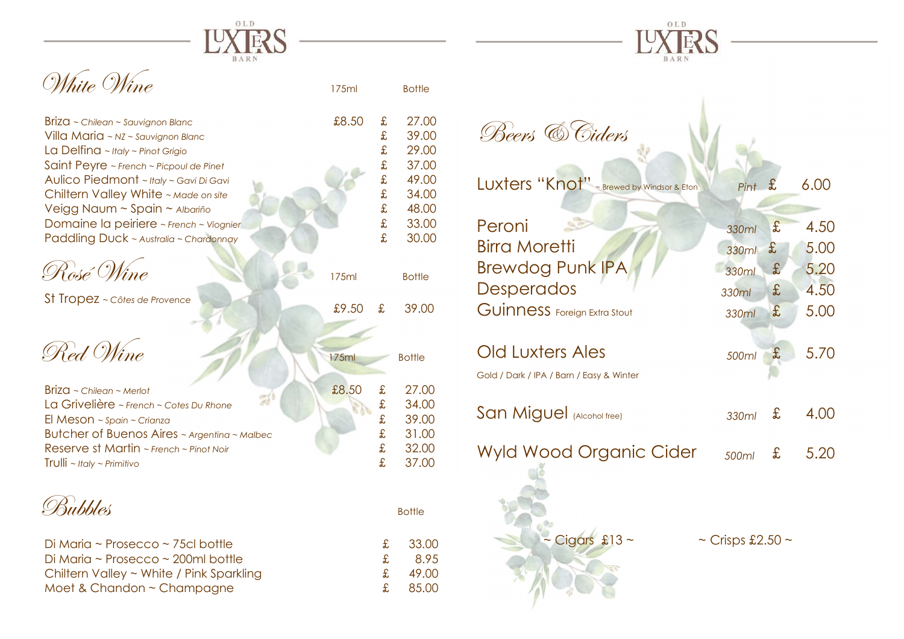

£9.50 £ 39.00



| £8.50<br>Briza ~ Chilean ~ Sauvignon Blanc | £. | 27.00 |
|--------------------------------------------|----|-------|
| Villa Maria ~ NZ ~ Sauvignon Blanc         | £  | 39.00 |
| La Delfina ~ Italy ~ Pinot Grigio          | £  | 29.00 |
| Saint Peyre ~ French ~ Picpoul de Pinet    | £  | 37.00 |
| Aulico Piedmont ~ Italy ~ Gavi Di Gavi     | £  | 49.00 |
| Chiltern Valley White ~ Made on site       | £  | 34.00 |
| Veigg Naum ~ Spain ~ Albariño              | £  | 48.00 |
| Domaine la peiriere ~ French ~ Viognier    | £  | 33.00 |
| Paddling Duck ~ Australia ~ Chardonnay     | £  | 30.00 |
|                                            |    |       |

| Rosé Wine | 175ml | <b>Bottle</b> |
|-----------|-------|---------------|
|           |       |               |

St Tropez ~ Côtes de Provence



Briza ~ Chilean ~ Merlot<br>La Grivelière ~ French ~ Cotes Du Rhone<br>
£ 34.00 La Grivelière ~ French ~ Cotes Du Rhone<br>El Meson ~ spain ~ Crianza El Meson ~  $\sin$  ~ Crianza  $\frac{2}{\sqrt{39.00}}$ Butcher of Buenos Aires ~ Argentina ~ Malbec  $\text{£}$  31.00 Reserve st Martin ~ French ~ Pinot Noir **E** 32.00  $\text{Tr} \text{U} \parallel \text{i} \sim \text{H} \text{c} \parallel \text{r} \sim \text{Pr} \text{im} \text{if} \text{iv} \sim \text{Pr} \text{im} \text{if} \text{iv} \sim \text{Pr} \text{im} \text{if} \text{iv} \sim \text{Pr} \text{im} \text{if} \text{iv} \sim \text{Pr} \text{im} \text{if} \text{iv} \sim \text{Pr} \text{im} \text{if} \text{iv} \sim \text{Pr} \text{im} \text{if} \text{iv} \sim \text{Pr} \text{im} \text{if} \text{iv} \sim \text{Pr} \text$ 

**Bubbles** Bottle

| Di Maria ~ Prosecco ~ 75cl bottle             |                 | £ 33.00 |
|-----------------------------------------------|-----------------|---------|
| Di Maria ~ Prosecco ~ 200ml bottle            | $+$             | 8.95    |
| Chiltern Valley $\sim$ White / Pink Sparkling | $ \mathbf{f}$ . | 49.00   |
| Moet & Chandon $\sim$ Champagne               |                 | £ 85.00 |

| Beers & Ciders                                                                                          |                                           |                                   |                                      |
|---------------------------------------------------------------------------------------------------------|-------------------------------------------|-----------------------------------|--------------------------------------|
| LUXTers "Knot" ~ Brewed by Windsor & Eton                                                               | $Pint$ £                                  |                                   | 6.00                                 |
| Peroni<br><b>Birra Moretti</b><br><b>Brewdog Punk IPA</b><br>Desperados<br>Guinness Foreign Extra Stout | 330ml<br>330ml<br>330ml<br>330ml<br>330ml | £,<br>£<br>$\mathbf{f}$<br>£<br>£ | 4.50<br>5.00<br>5.20<br>4.50<br>5.00 |
| <b>Old Luxters Ales</b><br>Gold / Dark / IPA / Barn / Easy & Winter                                     | 500ml                                     | £                                 | 5.70                                 |
| San Miguel (Alcohol free)                                                                               | 330ml                                     | £                                 | 4.00                                 |
| <b>Wyld Wood Organic Cider</b>                                                                          | 500ml                                     | £                                 | 5.20                                 |
| Cigars $£13$ ~                                                                                          | $\sim$ Crisps £2.50 $\sim$                |                                   |                                      |